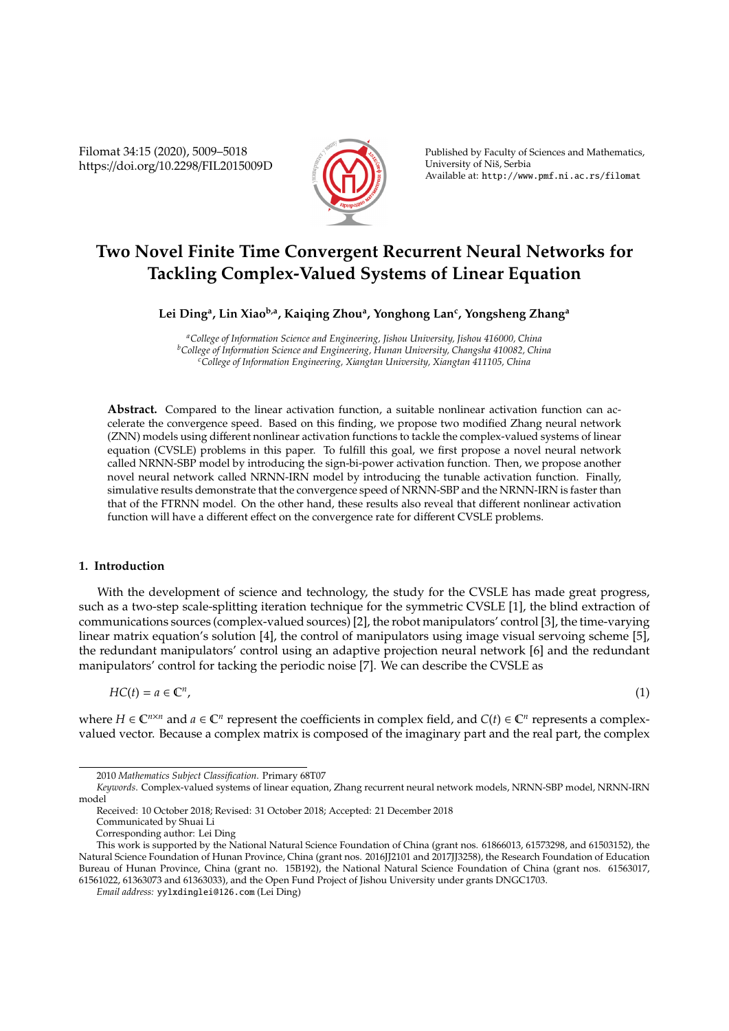Filomat 34:15 (2020), 5009–5018 https://doi.org/10.2298/FIL2015009D



Published by Faculty of Sciences and Mathematics, University of Niš, Serbia Available at: http://www.pmf.ni.ac.rs/filomat

# **Two Novel Finite Time Convergent Recurrent Neural Networks for Tackling Complex-Valued Systems of Linear Equation**

## **Lei Ding<sup>a</sup> , Lin Xiaob,a, Kaiqing Zhou<sup>a</sup> , Yonghong Lan<sup>c</sup> , Yongsheng Zhang<sup>a</sup>**

*<sup>a</sup>College of Information Science and Engineering, Jishou University, Jishou 416000, China <sup>b</sup>College of Information Science and Engineering, Hunan University, Changsha 410082, China <sup>c</sup>College of Information Engineering, Xiangtan University, Xiangtan 411105, China*

**Abstract.** Compared to the linear activation function, a suitable nonlinear activation function can accelerate the convergence speed. Based on this finding, we propose two modified Zhang neural network (ZNN) models using different nonlinear activation functions to tackle the complex-valued systems of linear equation (CVSLE) problems in this paper. To fulfill this goal, we first propose a novel neural network called NRNN-SBP model by introducing the sign-bi-power activation function. Then, we propose another novel neural network called NRNN-IRN model by introducing the tunable activation function. Finally, simulative results demonstrate that the convergence speed of NRNN-SBP and the NRNN-IRN is faster than that of the FTRNN model. On the other hand, these results also reveal that different nonlinear activation function will have a different effect on the convergence rate for different CVSLE problems.

## **1. Introduction**

With the development of science and technology, the study for the CVSLE has made great progress, such as a two-step scale-splitting iteration technique for the symmetric CVSLE [1], the blind extraction of communications sources (complex-valued sources) [2], the robot manipulators' control [3], the time-varying linear matrix equation's solution [4], the control of manipulators using image visual servoing scheme [5], the redundant manipulators' control using an adaptive projection neural network [6] and the redundant manipulators' control for tacking the periodic noise [7]. We can describe the CVSLE as

$$
HC(t) = a \in \mathbb{C}^n,
$$

,  $(1)$ 

where  $H \in \mathbb{C}^{n \times n}$  and  $a \in \mathbb{C}^n$  represent the coefficients in complex field, and  $C(t) \in \mathbb{C}^n$  represents a complexvalued vector. Because a complex matrix is composed of the imaginary part and the real part, the complex

<sup>2010</sup> *Mathematics Subject Classification*. Primary 68T07

*Keywords*. Complex-valued systems of linear equation, Zhang recurrent neural network models, NRNN-SBP model, NRNN-IRN model

Received: 10 October 2018; Revised: 31 October 2018; Accepted: 21 December 2018

Communicated by Shuai Li

Corresponding author: Lei Ding

This work is supported by the National Natural Science Foundation of China (grant nos. 61866013, 61573298, and 61503152), the Natural Science Foundation of Hunan Province, China (grant nos. 2016JJ2101 and 2017JJ3258), the Research Foundation of Education Bureau of Hunan Province, China (grant no. 15B192), the National Natural Science Foundation of China (grant nos. 61563017, 61561022, 61363073 and 61363033), and the Open Fund Project of Jishou University under grants DNGC1703.

*Email address:* yylxdinglei@126.com (Lei Ding)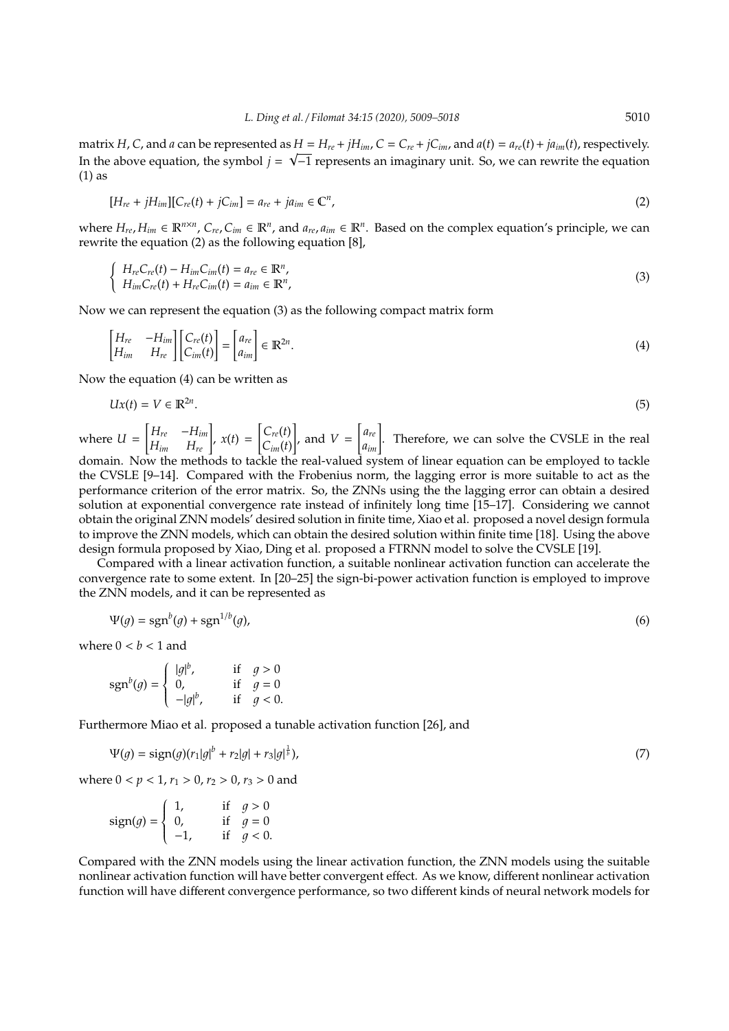matrix H, C, and a can be represented as  $H = H_{re} + jH_{im}$ ,  $C = C_{re} + jC_{im}$ , and  $a(t) = a_{re}(t) + ja_{im}(t)$ , respectively. In the above equation, the symbol  $j = \sqrt{-1}$  represents an imaginary unit. So, we can rewrite the equation (1) as

$$
[H_{re} + jH_{im}][C_{re}(t) + jC_{im}] = a_{re} + ja_{im} \in \mathbb{C}^{n},
$$
\n(2)

where  $H_{re}$ ,  $H_{im} \in \mathbb{R}^{n \times n}$ ,  $C_{re}$ ,  $C_{im} \in \mathbb{R}^n$ , and  $a_{re}$ ,  $a_{im} \in \mathbb{R}^n$ . Based on the complex equation's principle, we can rewrite the equation (2) as the following equation [8],

$$
\begin{cases}\nH_{re}C_{re}(t) - H_{im}C_{im}(t) = a_{re} \in \mathbb{R}^n, \\
H_{im}C_{re}(t) + H_{re}C_{im}(t) = a_{im} \in \mathbb{R}^n,\n\end{cases}
$$
\n(3)

Now we can represent the equation (3) as the following compact matrix form

$$
\begin{bmatrix} H_{re} & -H_{im} \\ H_{im} & H_{re} \end{bmatrix} \begin{bmatrix} C_{re}(t) \\ C_{im}(t) \end{bmatrix} = \begin{bmatrix} a_{re} \\ a_{im} \end{bmatrix} \in \mathbb{R}^{2n}.\tag{4}
$$

Now the equation (4) can be written as

$$
Ux(t) = V \in \mathbb{R}^{2n}.\tag{5}
$$

where *U* =  $\begin{bmatrix} H_{re} & -H_{im} \\ H_{im} & H_{re} \end{bmatrix}$ ,  $x(t) =$  $\int C_{re}(t)$ *Cim*(*t*) 1 , and *V* =  $\begin{bmatrix} a_{re} \\ a_{im} \end{bmatrix}$ . Therefore, we can solve the CVSLE in the real domain. Now the methods to tackle the real-valued system of linear equation can be employed to tackle the CVSLE [9–14]. Compared with the Frobenius norm, the lagging error is more suitable to act as the

performance criterion of the error matrix. So, the ZNNs using the the lagging error can obtain a desired solution at exponential convergence rate instead of infinitely long time [15–17]. Considering we cannot obtain the original ZNN models' desired solution in finite time, Xiao et al. proposed a novel design formula to improve the ZNN models, which can obtain the desired solution within finite time [18]. Using the above design formula proposed by Xiao, Ding et al. proposed a FTRNN model to solve the CVSLE [19].

Compared with a linear activation function, a suitable nonlinear activation function can accelerate the convergence rate to some extent. In [20–25] the sign-bi-power activation function is employed to improve the ZNN models, and it can be represented as

$$
\Psi(g) = \text{sgn}^b(g) + \text{sgn}^{1/b}(g),\tag{6}
$$

where  $0 < b < 1$  and

$$
sgn^{b}(g) = \begin{cases} |g|^{b}, & \text{if } g > 0\\ 0, & \text{if } g = 0\\ -|g|^{b}, & \text{if } g < 0. \end{cases}
$$

Furthermore Miao et al. proposed a tunable activation function [26], and

$$
\Psi(g) = \text{sign}(g)(r_1|g|^b + r_2|g| + r_3|g|^{\frac{1}{b}}),\tag{7}
$$

where  $0 < p < 1$ ,  $r_1 > 0$ ,  $r_2 > 0$ ,  $r_3 > 0$  and

sign(g) =   
\n
$$
\begin{cases}\n1, & \text{if } g > 0 \\
0, & \text{if } g = 0 \\
-1, & \text{if } g < 0.\n\end{cases}
$$

Compared with the ZNN models using the linear activation function, the ZNN models using the suitable nonlinear activation function will have better convergent effect. As we know, different nonlinear activation function will have different convergence performance, so two different kinds of neural network models for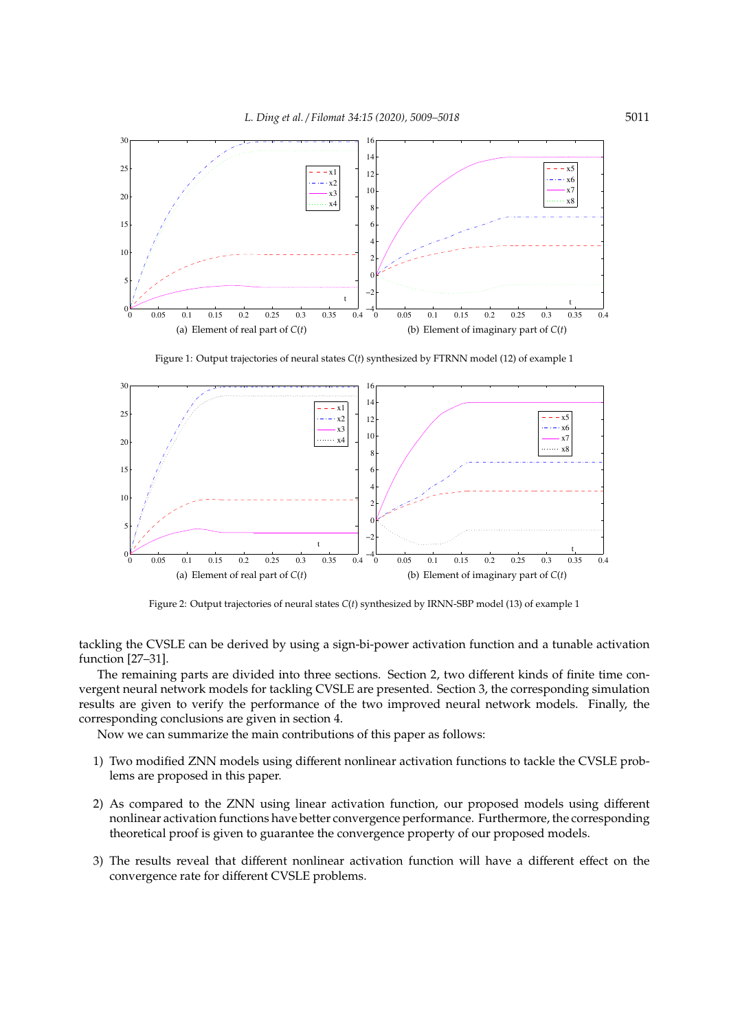

Figure 1: Output trajectories of neural states *C*(*t*) synthesized by FTRNN model (12) of example 1



Figure 2: Output trajectories of neural states *C*(*t*) synthesized by IRNN-SBP model (13) of example 1

tackling the CVSLE can be derived by using a sign-bi-power activation function and a tunable activation function [27–31].

The remaining parts are divided into three sections. Section 2, two different kinds of finite time convergent neural network models for tackling CVSLE are presented. Section 3, the corresponding simulation results are given to verify the performance of the two improved neural network models. Finally, the corresponding conclusions are given in section 4.

Now we can summarize the main contributions of this paper as follows:

- 1) Two modified ZNN models using different nonlinear activation functions to tackle the CVSLE problems are proposed in this paper.
- 2) As compared to the ZNN using linear activation function, our proposed models using different nonlinear activation functions have better convergence performance. Furthermore, the corresponding theoretical proof is given to guarantee the convergence property of our proposed models.
- 3) The results reveal that different nonlinear activation function will have a different effect on the convergence rate for different CVSLE problems.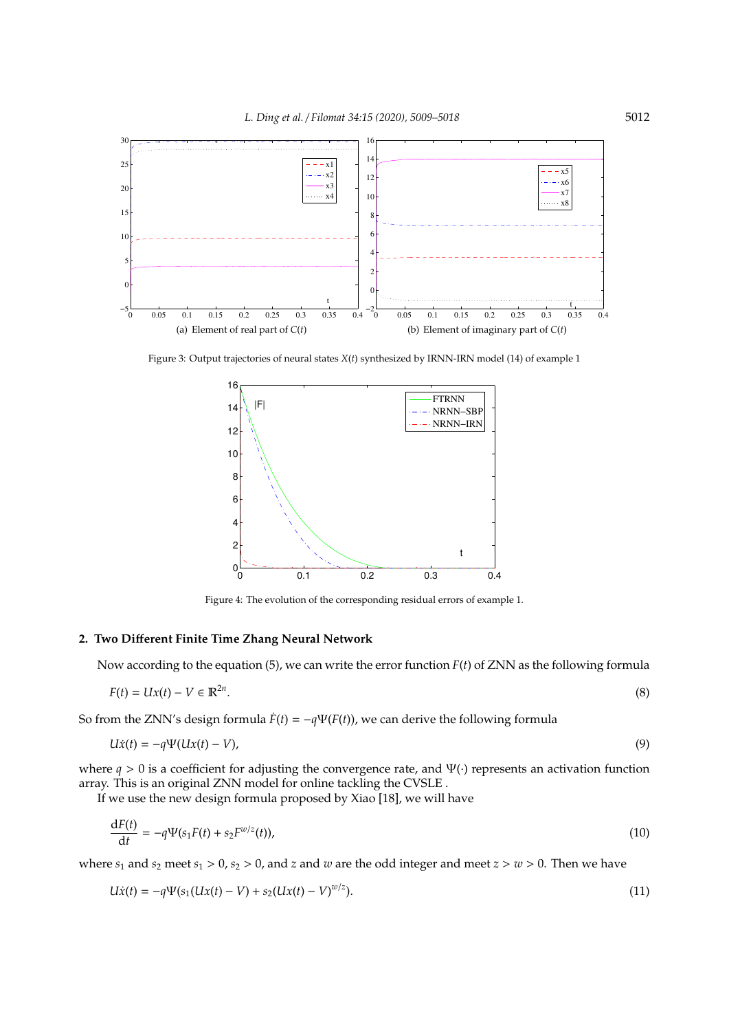

Figure 3: Output trajectories of neural states *X*(*t*) synthesized by IRNN-IRN model (14) of example 1



Figure 4: The evolution of the corresponding residual errors of example 1.

## **2. Two Di**ff**erent Finite Time Zhang Neural Network**

Now according to the equation (5), we can write the error function *F*(*t*) of ZNN as the following formula

$$
F(t) = Ux(t) - V \in \mathbb{R}^{2n}.
$$
\n
$$
(8)
$$

So from the ZNN's design formula  $\dot{F}(t) = -q\Psi(F(t))$ , we can derive the following formula

$$
U\dot{x}(t) = -q\Psi(Ux(t) - V),\tag{9}
$$

where *q* > 0 is a coefficient for adjusting the convergence rate, and Ψ(·) represents an activation function array. This is an original ZNN model for online tackling the CVSLE .

If we use the new design formula proposed by Xiao [18], we will have

$$
\frac{dF(t)}{dt} = -q\Psi(s_1F(t) + s_2F^{w/z}(t)),
$$
\n(10)

where  $s_1$  and  $s_2$  meet  $s_1 > 0$ ,  $s_2 > 0$ , and *z* and *w* are the odd integer and meet  $z > w > 0$ . Then we have

$$
U\dot{x}(t) = -q\Psi(s_1(Ux(t) - V) + s_2(Ux(t) - V)^{w/z}).
$$
\n(11)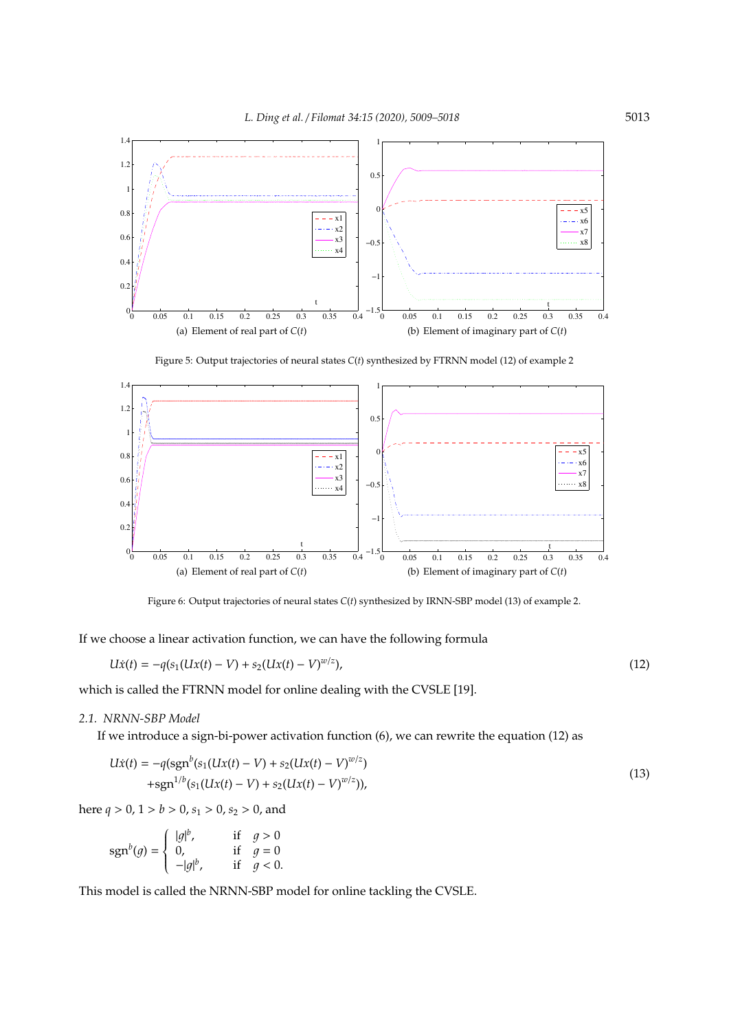

Figure 5: Output trajectories of neural states *C*(*t*) synthesized by FTRNN model (12) of example 2



Figure 6: Output trajectories of neural states *C*(*t*) synthesized by IRNN-SBP model (13) of example 2.

If we choose a linear activation function, we can have the following formula

$$
U\dot{x}(t) = -q(s_1(Ux(t) - V) + s_2(Ux(t) - V)^{w/z}),
$$
\n(12)

which is called the FTRNN model for online dealing with the CVSLE [19].

## *2.1. NRNN-SBP Model*

If we introduce a sign-bi-power activation function (6), we can rewrite the equation (12) as

$$
U\dot{x}(t) = -q(\text{sgn}^{b}(s_{1}(Ux(t) - V) + s_{2}(Ux(t) - V)^{w/z}) + \text{sgn}^{1/b}(s_{1}(Ux(t) - V) + s_{2}(Ux(t) - V)^{w/z})),
$$
\n(13)

here  $q > 0$ ,  $1 > b > 0$ ,  $s_1 > 0$ ,  $s_2 > 0$ , and

$$
\operatorname{sgn}^{b}(g) = \begin{cases} |g|^{b}, & \text{if } g > 0\\ 0, & \text{if } g = 0\\ -|g|^{b}, & \text{if } g < 0. \end{cases}
$$

This model is called the NRNN-SBP model for online tackling the CVSLE.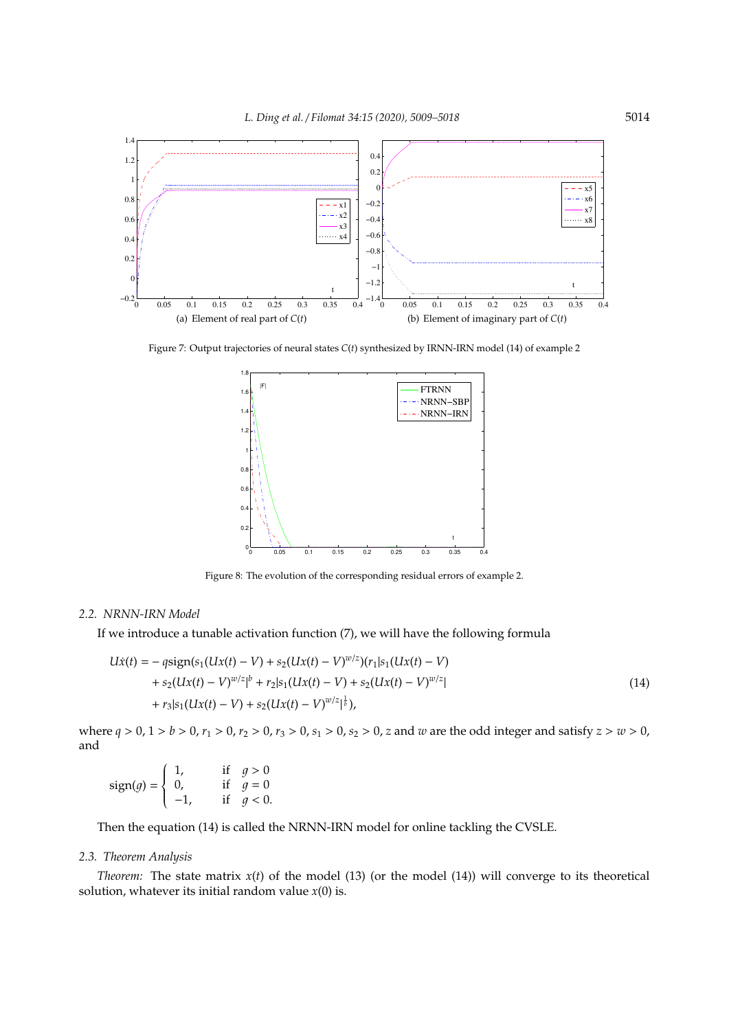

Figure 7: Output trajectories of neural states *C*(*t*) synthesized by IRNN-IRN model (14) of example 2



Figure 8: The evolution of the corresponding residual errors of example 2.

#### *2.2. NRNN-IRN Model*

If we introduce a tunable activation function (7), we will have the following formula

$$
U\dot{x}(t) = -q\text{sign}(s_1(Ux(t) - V) + s_2(Ux(t) - V)^{w/z})(r_1|s_1(Ux(t) - V) + s_2(Ux(t) - V)^{w/z}|^b + r_2|s_1(Ux(t) - V) + s_2(Ux(t) - V)^{w/z}| + r_3|s_1(Ux(t) - V) + s_2(Ux(t) - V)^{w/z}|^{\frac{1}{b}}),
$$
\n(14)

where  $q > 0$ ,  $1 > b > 0$ ,  $r_1 > 0$ ,  $r_2 > 0$ ,  $r_3 > 0$ ,  $s_1 > 0$ ,  $s_2 > 0$ , z and w are the odd integer and satisfy  $z > w > 0$ , and

sign(g) =   
\n
$$
\begin{cases}\n1, & \text{if } g > 0 \\
0, & \text{if } g = 0 \\
-1, & \text{if } g < 0.\n\end{cases}
$$

Then the equation (14) is called the NRNN-IRN model for online tackling the CVSLE.

## *2.3. Theorem Analysis*

*Theorem:* The state matrix  $x(t)$  of the model (13) (or the model (14)) will converge to its theoretical solution, whatever its initial random value *x*(0) is.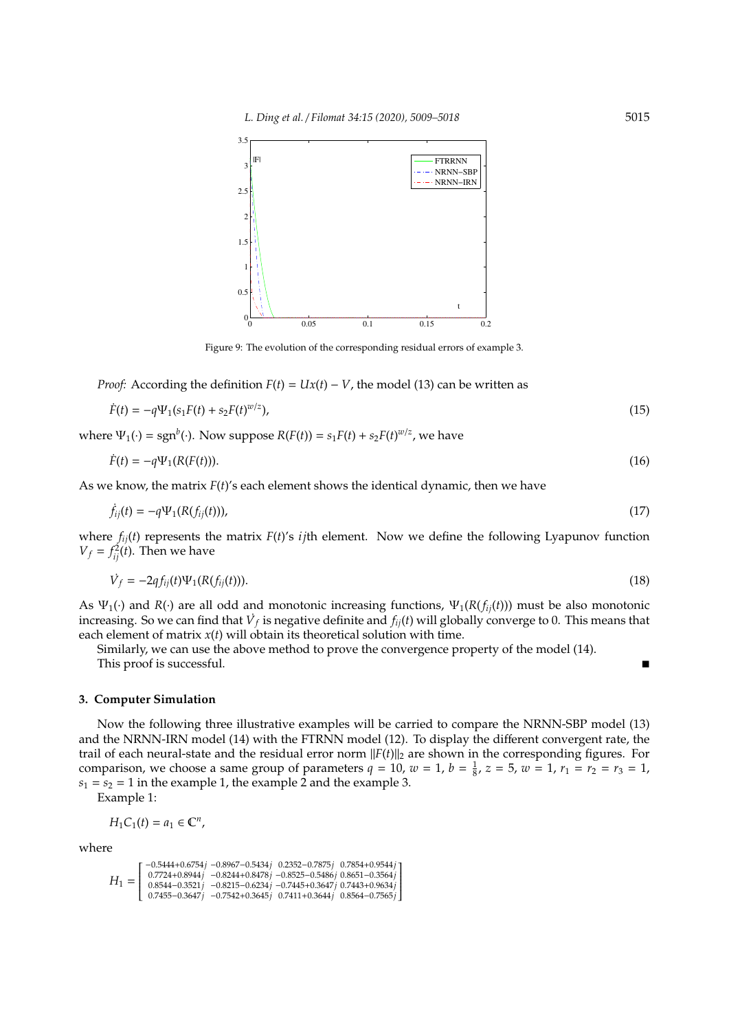

Figure 9: The evolution of the corresponding residual errors of example 3.

*Proof:* According the definition  $F(t) = Ux(t) - V$ , the model (13) can be written as

$$
\dot{F}(t) = -q\Psi_1(s_1F(t) + s_2F(t)^{w/z}),\tag{15}
$$

where  $\Psi_1(\cdot) = \text{sgn}^b(\cdot)$ . Now suppose  $R(F(t)) = s_1 F(t) + s_2 F(t)^{w/z}$ , we have

$$
\dot{F}(t) = -q\Psi_1(R(F(t))). \tag{16}
$$

As we know, the matrix *F*(*t*)'s each element shows the identical dynamic, then we have

$$
\dot{f}_{ij}(t) = -q\Psi_1(R(f_{ij}(t))),\tag{17}
$$

where *fij*(*t*) represents the matrix *F*(*t*)'s *ij*th element. Now we define the following Lyapunov function  $V_f = f_{ij}^2(t)$ . Then we have

$$
\dot{V}_f = -2q f_{ij}(t) \Psi_1(R(f_{ij}(t))). \tag{18}
$$

As  $\Psi_1(\cdot)$  and  $R(\cdot)$  are all odd and monotonic increasing functions,  $\Psi_1(R(f_{ij}(t)))$  must be also monotonic increasing. So we can find that  $\dot{V}_f$  is negative definite and  $f_{ij}(t)$  will globally converge to 0. This means that each element of matrix *x*(*t*) will obtain its theoretical solution with time.

Similarly, we can use the above method to prove the convergence property of the model (14). This proof is successful.

#### **3. Computer Simulation**

Now the following three illustrative examples will be carried to compare the NRNN-SBP model (13) and the NRNN-IRN model (14) with the FTRNN model (12). To display the different convergent rate, the trail of each neural-state and the residual error norm ||*F*(*t*)||<sup>2</sup> are shown in the corresponding figures. For comparison, we choose a same group of parameters  $q = 10$ ,  $w = 1$ ,  $b = \frac{1}{8}$ ,  $z = 5$ ,  $w = 1$ ,  $r_1 = r_2 = r_3 = 1$ ,  $s_1 = s_2 = 1$  in the example 1, the example 2 and the example 3.

Example 1:

$$
H_1C_1(t)=a_1\in\mathbb{C}^n,
$$

where

$$
H_1 = \left[\begin{smallmatrix} -0.5444+0.6754j & -0.8967-0.5434j & 0.2352-0.7875j & 0.7854+0.9544j \\ 0.7724+0.8944j & -0.8244+0.8478j & -0.8525-0.5486j & 0.8651-0.3564j \\ 0.8544-0.3521j & -0.8215-0.6234j & -0.7445+0.3647j & 0.7443+0.9634j \\ 0.7455-0.3647j & -0.7542+0.3645j & 0.7411+0.3644j & 0.8564-0.7565j \end{smallmatrix}\right]
$$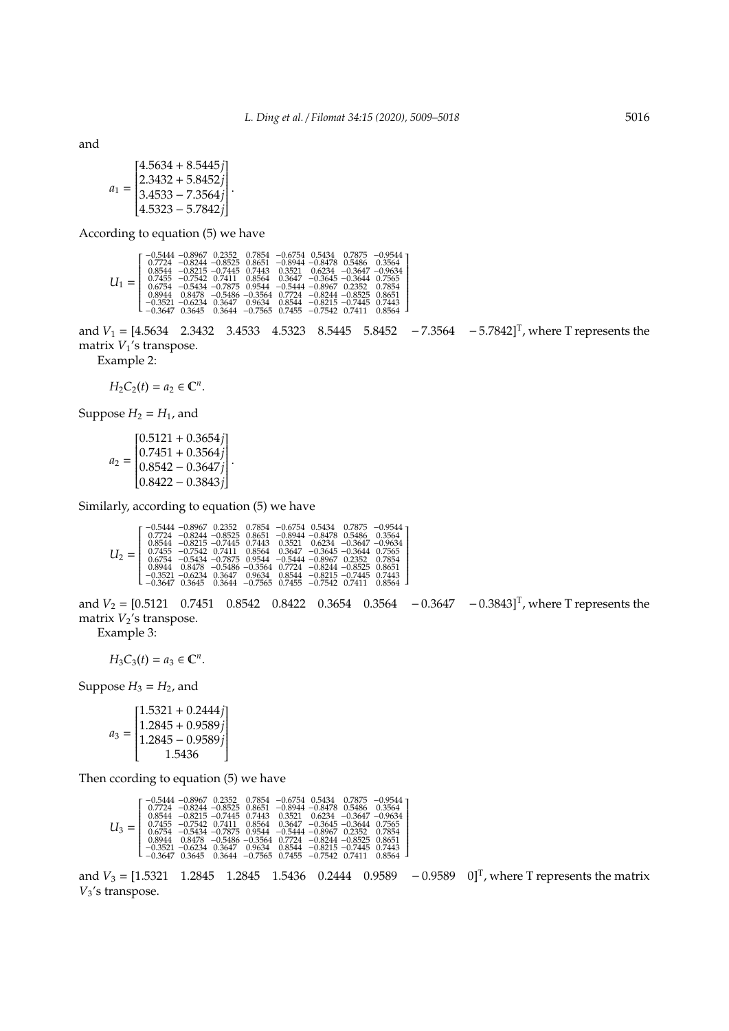and

$$
a_1 = \begin{bmatrix} 4.5634 + 8.5445j \\ 2.3432 + 5.8452j \\ 3.4533 - 7.3564j \\ 4.5323 - 5.7842j \end{bmatrix}.
$$

According to equation (5) we have

|  | $\left[\begin{array}{cccccc} -0.5444 & -0.8967 & 0.2352 & 0.7854 & -0.6754 & 0.5434 & 0.7875 & -0.9544 \\ 0.7724 & -0.8244 & -0.8525 & 0.8651 & -0.8944 & -0.8478 & 0.5486 & 0.3564 \end{array}\right]$<br>$0.8544 - 0.8215 - 0.7445$ $0.7443$ $0.3521$ $0.6234$ $-0.3647$ $-0.9634$<br>$U_1 = \begin{bmatrix} 0.7455 & -0.7542 & 0.7411 & 0.8564 & 0.3647 & -0.3645 & -0.3644 & 0.7565 \end{bmatrix}$<br>$\vert$ 0.6754 -0.5434 -0.7875 0.9544 -0.5444 -0.8967 0.2352 0.7854<br>$\left[\begin{array}{cccccc} -0.3521 & -0.6234 & 0.3647 & 0.9634 & 0.8544 & -0.8215 & -0.7445 & 0.7443 \\ -0.3647 & 0.3645 & 0.3644 & -0.7565 & 0.7455 & -0.7542 & 0.7411 & 0.8564 \end{array}\right]$ |  |  |  | $0.8944$ $0.8478$ $-0.5486$ $-0.3564$ $0.7724$ $-0.8244$ $-0.8525$ $0.8651$ |  |  |  |  |
|--|-----------------------------------------------------------------------------------------------------------------------------------------------------------------------------------------------------------------------------------------------------------------------------------------------------------------------------------------------------------------------------------------------------------------------------------------------------------------------------------------------------------------------------------------------------------------------------------------------------------------------------------------------------------------------------------------|--|--|--|-----------------------------------------------------------------------------|--|--|--|--|
|--|-----------------------------------------------------------------------------------------------------------------------------------------------------------------------------------------------------------------------------------------------------------------------------------------------------------------------------------------------------------------------------------------------------------------------------------------------------------------------------------------------------------------------------------------------------------------------------------------------------------------------------------------------------------------------------------------|--|--|--|-----------------------------------------------------------------------------|--|--|--|--|

and  $V_1 = [4.5634 \quad 2.3432 \quad 3.4533 \quad 4.5323 \quad 8.5445 \quad 5.8452 \quad -7.3564 \quad -5.7842]^{T}$ , where T represents the matrix  $V_1$ 's transpose.

Example 2:

$$
H_2C_2(t)=a_2\in\mathbb{C}^n.
$$

Suppose  $H_2 = H_1$ , and

$$
a_2 = \begin{bmatrix} 0.5121 + 0.3654j \\ 0.7451 + 0.3564j \\ 0.8542 - 0.3647j \\ 0.8422 - 0.3843j \end{bmatrix}.
$$

Similarly, according to equation (5) we have

and  $V_2 = [0.5121 \quad 0.7451 \quad 0.8542 \quad 0.8422 \quad 0.3654 \quad 0.3564 \quad -0.3647 \quad -0.3843]^{T}$ , where T represents the matrix  $V_2$ 's transpose.

Example 3:

*H*<sub>3</sub>*C*<sub>3</sub>(*t*) =  $a_3 \in \mathbb{C}^n$ .

Suppose  $H_3 = H_2$ , and

| $[1.5321 + 0.2444j]$                                                 |
|----------------------------------------------------------------------|
|                                                                      |
| $\begin{bmatrix} 1.2845 + 0.9589j \\ 1.2845 - 0.9589j \end{bmatrix}$ |
| 1.5436                                                               |

Then ccording to equation (5) we have

| $\left[ \begin{array}{cccccccc} -0.5444 & -0.8967 & 0.2352 & 0.7854 & -0.6754 & 0.5434 & 0.7875 & -0.9544 \\ 0.7724 & -0.8244 & -0.8525 & 0.8651 & -0.8944 & -0.8478 & 0.5486 & 0.3564 \end{array}\right]$<br>$0.8544 - 0.8215 - 0.7445$ 0.7443 0.3521 0.6234 -0.3647 -0.9634<br>$\vert$ 0.7455 -0.7542 0.7411 0.8564 0.3647 -0.3645 -0.3644 0.7565 $\vert$<br>$0.6754 -0.5434 -0.7875$ $0.9544 -0.5444 -0.8967$ $0.2352$ $0.7854$<br>$0.8944$ $0.8478$ $-0.5486$ $-0.3564$ $0.7724$ $-0.8244$ $-0.8525$ $0.8651$ |  |
|-------------------------------------------------------------------------------------------------------------------------------------------------------------------------------------------------------------------------------------------------------------------------------------------------------------------------------------------------------------------------------------------------------------------------------------------------------------------------------------------------------------------|--|
| $\left[ \begin{array}{ccc} -0.3521 & -0.6234 & 0.3647 & 0.9634 & 0.8544 & -0.8215 & -0.7445 & 0.7443 \ -0.3647 & 0.3645 & 0.3644 & -0.7565 & 0.7455 & -0.7542 & 0.7411 & 0.8564 \end{array} \right]$                                                                                                                                                                                                                                                                                                              |  |

and  $V_3 = [1.5321 \quad 1.2845 \quad 1.2845 \quad 1.5436 \quad 0.2444 \quad 0.9589 \quad -0.9589 \quad 0]^T$ , where T represents the matrix *V*3's transpose.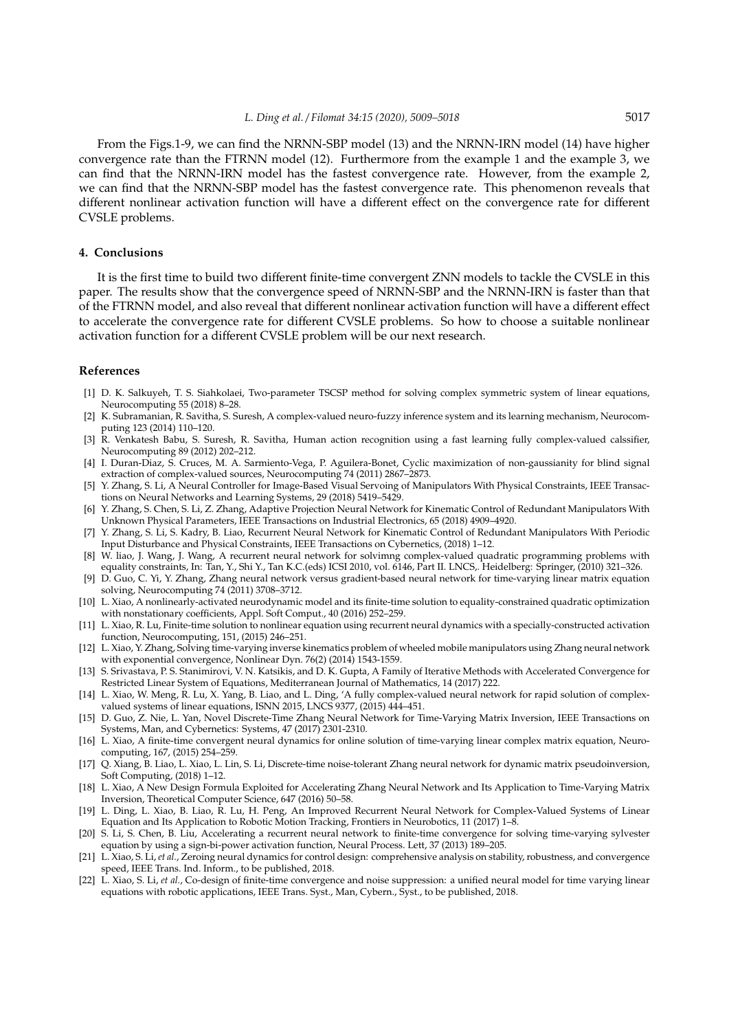From the Figs.1-9, we can find the NRNN-SBP model (13) and the NRNN-IRN model (14) have higher convergence rate than the FTRNN model (12). Furthermore from the example 1 and the example 3, we can find that the NRNN-IRN model has the fastest convergence rate. However, from the example 2, we can find that the NRNN-SBP model has the fastest convergence rate. This phenomenon reveals that different nonlinear activation function will have a different effect on the convergence rate for different CVSLE problems.

#### **4. Conclusions**

It is the first time to build two different finite-time convergent ZNN models to tackle the CVSLE in this paper. The results show that the convergence speed of NRNN-SBP and the NRNN-IRN is faster than that of the FTRNN model, and also reveal that different nonlinear activation function will have a different effect to accelerate the convergence rate for different CVSLE problems. So how to choose a suitable nonlinear activation function for a different CVSLE problem will be our next research.

#### **References**

- [1] D. K. Salkuyeh, T. S. Siahkolaei, Two-parameter TSCSP method for solving complex symmetric system of linear equations, Neurocomputing 55 (2018) 8–28.
- [2] K. Subramanian, R. Savitha, S. Suresh, A complex-valued neuro-fuzzy inference system and its learning mechanism, Neurocomputing 123 (2014) 110–120.
- [3] R. Venkatesh Babu, S. Suresh, R. Savitha, Human action recognition using a fast learning fully complex-valued calssifier, Neurocomputing 89 (2012) 202–212.
- [4] I. Duran-Diaz, S. Cruces, M. A. Sarmiento-Vega, P. Aguilera-Bonet, Cyclic maximization of non-gaussianity for blind signal extraction of complex-valued sources, Neurocomputing 74 (2011) 2867–2873.
- [5] Y. Zhang, S. Li, A Neural Controller for Image-Based Visual Servoing of Manipulators With Physical Constraints, IEEE Transactions on Neural Networks and Learning Systems, 29 (2018) 5419–5429.
- [6] Y. Zhang, S. Chen, S. Li, Z. Zhang, Adaptive Projection Neural Network for Kinematic Control of Redundant Manipulators With Unknown Physical Parameters, IEEE Transactions on Industrial Electronics, 65 (2018) 4909–4920.
- [7] Y. Zhang, S. Li, S. Kadry, B. Liao, Recurrent Neural Network for Kinematic Control of Redundant Manipulators With Periodic Input Disturbance and Physical Constraints, IEEE Transactions on Cybernetics, (2018) 1–12.
- [8] W. liao, J. Wang, J. Wang, A recurrent neural network for solvimng complex-valued quadratic programming problems with equality constraints, In: Tan, Y., Shi Y., Tan K.C.(eds) ICSI 2010, vol. 6146, Part II. LNCS,. Heidelberg: Springer, (2010) 321–326.
- [9] D. Guo, C. Yi, Y. Zhang, Zhang neural network versus gradient-based neural network for time-varying linear matrix equation solving, Neurocomputing 74 (2011) 3708–3712.
- [10] L. Xiao, A nonlinearly-activated neurodynamic model and its finite-time solution to equality-constrained quadratic optimization with nonstationary coefficients, Appl. Soft Comput., 40 (2016) 252–259.
- [11] L. Xiao, R. Lu, Finite-time solution to nonlinear equation using recurrent neural dynamics with a specially-constructed activation function, Neurocomputing, 151, (2015) 246–251.
- [12] L. Xiao, Y. Zhang, Solving time-varying inverse kinematics problem of wheeled mobile manipulators using Zhang neural network with exponential convergence, Nonlinear Dyn. 76(2) (2014) 1543-1559.
- [13] S. Srivastava, P. S. Stanimirovi, V. N. Katsikis, and D. K. Gupta, A Family of Iterative Methods with Accelerated Convergence for Restricted Linear System of Equations, Mediterranean Journal of Mathematics, 14 (2017) 222.
- [14] L. Xiao, W. Meng, R. Lu, X. Yang, B. Liao, and L. Ding, 'A fully complex-valued neural network for rapid solution of complexvalued systems of linear equations, ISNN 2015, LNCS 9377, (2015) 444–451.
- [15] D. Guo, Z. Nie, L. Yan, Novel Discrete-Time Zhang Neural Network for Time-Varying Matrix Inversion, IEEE Transactions on Systems, Man, and Cybernetics: Systems, 47 (2017) 2301-2310.
- [16] L. Xiao, A finite-time convergent neural dynamics for online solution of time-varying linear complex matrix equation, Neurocomputing, 167, (2015) 254–259.
- [17] Q. Xiang, B. Liao, L. Xiao, L. Lin, S. Li, Discrete-time noise-tolerant Zhang neural network for dynamic matrix pseudoinversion, Soft Computing, (2018) 1–12.
- [18] L. Xiao, A New Design Formula Exploited for Accelerating Zhang Neural Network and Its Application to Time-Varying Matrix Inversion, Theoretical Computer Science, 647 (2016) 50–58.
- [19] L. Ding, L. Xiao, B. Liao, R. Lu, H. Peng, An Improved Recurrent Neural Network for Complex-Valued Systems of Linear Equation and Its Application to Robotic Motion Tracking, Frontiers in Neurobotics, 11 (2017) 1–8.
- [20] S. Li, S. Chen, B. Liu, Accelerating a recurrent neural network to finite-time convergence for solving time-varying sylvester equation by using a sign-bi-power activation function, Neural Process. Lett, 37 (2013) 189–205.
- [21] L. Xiao, S. Li, *et al.*, Zeroing neural dynamics for control design: comprehensive analysis on stability, robustness, and convergence speed, IEEE Trans. Ind. Inform., to be published, 2018.
- [22] L. Xiao, S. Li, *et al.*, Co-design of finite-time convergence and noise suppression: a unified neural model for time varying linear equations with robotic applications, IEEE Trans. Syst., Man, Cybern., Syst., to be published, 2018.